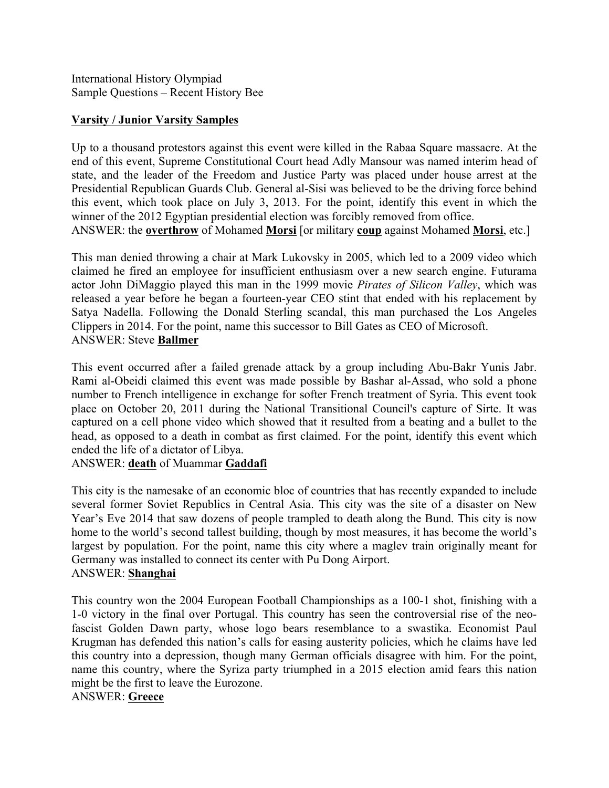International History Olympiad Sample Questions – Recent History Bee

## **Varsity / Junior Varsity Samples**

Up to a thousand protestors against this event were killed in the Rabaa Square massacre. At the end of this event, Supreme Constitutional Court head Adly Mansour was named interim head of state, and the leader of the Freedom and Justice Party was placed under house arrest at the Presidential Republican Guards Club. General al-Sisi was believed to be the driving force behind this event, which took place on July 3, 2013. For the point, identify this event in which the winner of the 2012 Egyptian presidential election was forcibly removed from office.

ANSWER: the **overthrow** of Mohamed **Morsi** [or military **coup** against Mohamed **Morsi**, etc.]

This man denied throwing a chair at Mark Lukovsky in 2005, which led to a 2009 video which claimed he fired an employee for insufficient enthusiasm over a new search engine. Futurama actor John DiMaggio played this man in the 1999 movie *Pirates of Silicon Valley*, which was released a year before he began a fourteen-year CEO stint that ended with his replacement by Satya Nadella. Following the Donald Sterling scandal, this man purchased the Los Angeles Clippers in 2014. For the point, name this successor to Bill Gates as CEO of Microsoft. ANSWER: Steve **Ballmer**

This event occurred after a failed grenade attack by a group including Abu-Bakr Yunis Jabr. Rami al-Obeidi claimed this event was made possible by Bashar al-Assad, who sold a phone number to French intelligence in exchange for softer French treatment of Syria. This event took place on October 20, 2011 during the National Transitional Council's capture of Sirte. It was captured on a cell phone video which showed that it resulted from a beating and a bullet to the head, as opposed to a death in combat as first claimed. For the point, identify this event which ended the life of a dictator of Libya.

ANSWER: **death** of Muammar **Gaddafi**

This city is the namesake of an economic bloc of countries that has recently expanded to include several former Soviet Republics in Central Asia. This city was the site of a disaster on New Year's Eve 2014 that saw dozens of people trampled to death along the Bund. This city is now home to the world's second tallest building, though by most measures, it has become the world's largest by population. For the point, name this city where a maglev train originally meant for Germany was installed to connect its center with Pu Dong Airport. ANSWER: **Shanghai**

This country won the 2004 European Football Championships as a 100-1 shot, finishing with a 1-0 victory in the final over Portugal. This country has seen the controversial rise of the neofascist Golden Dawn party, whose logo bears resemblance to a swastika. Economist Paul Krugman has defended this nation's calls for easing austerity policies, which he claims have led this country into a depression, though many German officials disagree with him. For the point, name this country, where the Syriza party triumphed in a 2015 election amid fears this nation might be the first to leave the Eurozone.

ANSWER: **Greece**